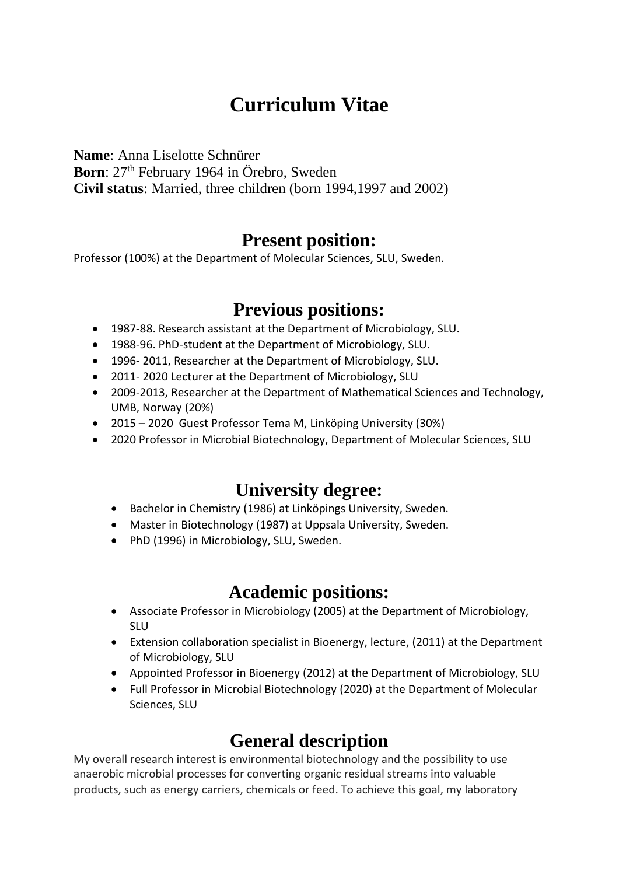# **Curriculum Vitae**

**Name**: Anna Liselotte Schnürer

Born: 27<sup>th</sup> February 1964 in Örebro, Sweden

**Civil status**: Married, three children (born 1994,1997 and 2002)

### **Present position:**

Professor (100%) at the Department of Molecular Sciences, SLU, Sweden.

## **Previous positions:**

- 1987-88. Research assistant at the Department of Microbiology, SLU.
- 1988-96. PhD-student at the Department of Microbiology, SLU.
- 1996- 2011, Researcher at the Department of Microbiology, SLU.
- 2011- 2020 Lecturer at the Department of Microbiology, SLU
- 2009-2013, Researcher at the Department of Mathematical Sciences and Technology, UMB, Norway (20%)
- 2015 2020 Guest Professor Tema M, Linköping University (30%)
- 2020 Professor in Microbial Biotechnology, Department of Molecular Sciences, SLU

# **University degree:**

- Bachelor in Chemistry (1986) at Linköpings University, Sweden.
- Master in Biotechnology (1987) at Uppsala University, Sweden.
- PhD (1996) in Microbiology, SLU, Sweden.

## **Academic positions:**

- Associate Professor in Microbiology (2005) at the Department of Microbiology, SLU
- Extension collaboration specialist in Bioenergy, lecture, (2011) at the Department of Microbiology, SLU
- Appointed Professor in Bioenergy (2012) at the Department of Microbiology, SLU
- Full Professor in Microbial Biotechnology (2020) at the Department of Molecular Sciences, SLU

# **General description**

My overall research interest is environmental biotechnology and the possibility to use anaerobic microbial processes for converting organic residual streams into valuable products, such as energy carriers, chemicals or feed. To achieve this goal, my laboratory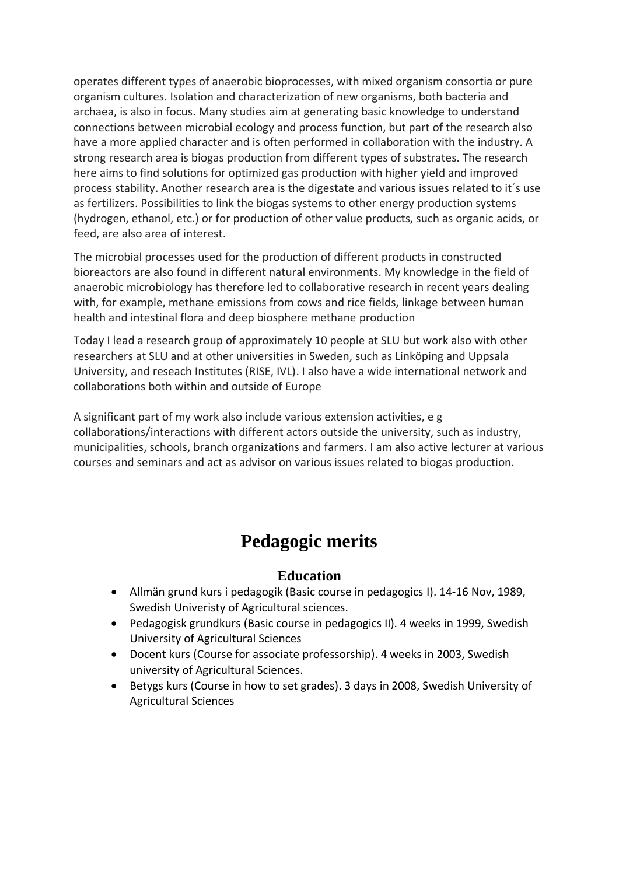operates different types of anaerobic bioprocesses, with mixed organism consortia or pure organism cultures. Isolation and characterization of new organisms, both bacteria and archaea, is also in focus. Many studies aim at generating basic knowledge to understand connections between microbial ecology and process function, but part of the research also have a more applied character and is often performed in collaboration with the industry. A strong research area is biogas production from different types of substrates. The research here aims to find solutions for optimized gas production with higher yield and improved process stability. Another research area is the digestate and various issues related to it´s use as fertilizers. Possibilities to link the biogas systems to other energy production systems (hydrogen, ethanol, etc.) or for production of other value products, such as organic acids, or feed, are also area of interest.

The microbial processes used for the production of different products in constructed bioreactors are also found in different natural environments. My knowledge in the field of anaerobic microbiology has therefore led to collaborative research in recent years dealing with, for example, methane emissions from cows and rice fields, linkage between human health and intestinal flora and deep biosphere methane production

Today I lead a research group of approximately 10 people at SLU but work also with other researchers at SLU and at other universities in Sweden, such as Linköping and Uppsala University, and reseach Institutes (RISE, IVL). I also have a wide international network and collaborations both within and outside of Europe

A significant part of my work also include various extension activities, e g collaborations/interactions with different actors outside the university, such as industry, municipalities, schools, branch organizations and farmers. I am also active lecturer at various courses and seminars and act as advisor on various issues related to biogas production.

# **Pedagogic merits**

### **Education**

- Allmän grund kurs i pedagogik (Basic course in pedagogics I). 14-16 Nov, 1989, Swedish Univeristy of Agricultural sciences.
- Pedagogisk grundkurs (Basic course in pedagogics II). 4 weeks in 1999, Swedish University of Agricultural Sciences
- Docent kurs (Course for associate professorship). 4 weeks in 2003, Swedish university of Agricultural Sciences.
- Betygs kurs (Course in how to set grades). 3 days in 2008, Swedish University of Agricultural Sciences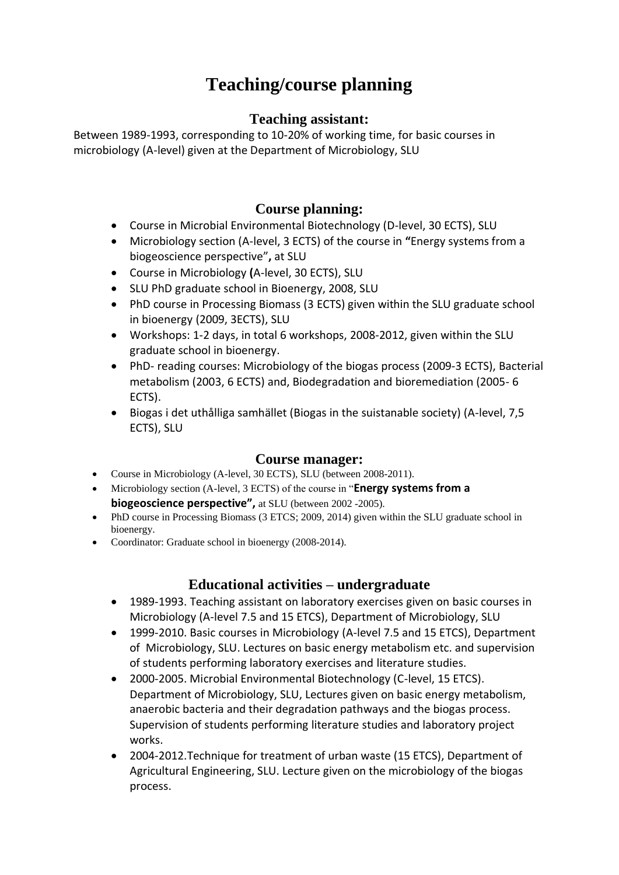# **Teaching/course planning**

#### **Teaching assistant:**

Between 1989-1993, corresponding to 10-20% of working time, for basic courses in microbiology (A-level) given at the Department of Microbiology, SLU

### **Course planning:**

- Course in Microbial Environmental Biotechnology (D-level, 30 ECTS), SLU
- Microbiology section (A-level, 3 ECTS) of the course in **"**Energy systems from a biogeoscience perspective"**,** at SLU
- Course in Microbiology **(**A-level, 30 ECTS), SLU
- SLU PhD graduate school in Bioenergy, 2008, SLU
- PhD course in Processing Biomass (3 ECTS) given within the SLU graduate school in bioenergy (2009, 3ECTS), SLU
- Workshops: 1-2 days, in total 6 workshops, 2008-2012, given within the SLU graduate school in bioenergy.
- PhD- reading courses: Microbiology of the biogas process (2009-3 ECTS), Bacterial metabolism (2003, 6 ECTS) and, Biodegradation and bioremediation (2005- 6 ECTS).
- Biogas i det uthålliga samhället (Biogas in the suistanable society) (A-level, 7,5 ECTS), SLU

#### **Course manager:**

- Course in Microbiology (A-level, 30 ECTS), SLU (between 2008-2011).
- Microbiology section (A-level, 3 ECTS) of the course in "**Energy systems from a biogeoscience perspective",** at SLU (between 2002 -2005).
- PhD course in Processing Biomass (3 ETCS; 2009, 2014) given within the SLU graduate school in bioenergy.
- Coordinator: Graduate school in bioenergy (2008-2014).

### **Educational activities – undergraduate**

- 1989-1993. Teaching assistant on laboratory exercises given on basic courses in Microbiology (A-level 7.5 and 15 ETCS), Department of Microbiology, SLU
- 1999-2010. Basic courses in Microbiology (A-level 7.5 and 15 ETCS), Department of Microbiology, SLU. Lectures on basic energy metabolism etc. and supervision of students performing laboratory exercises and literature studies.
- 2000-2005. Microbial Environmental Biotechnology (C-level, 15 ETCS). Department of Microbiology, SLU, Lectures given on basic energy metabolism, anaerobic bacteria and their degradation pathways and the biogas process. Supervision of students performing literature studies and laboratory project works.
- 2004-2012.Technique for treatment of urban waste (15 ETCS), Department of Agricultural Engineering, SLU. Lecture given on the microbiology of the biogas process.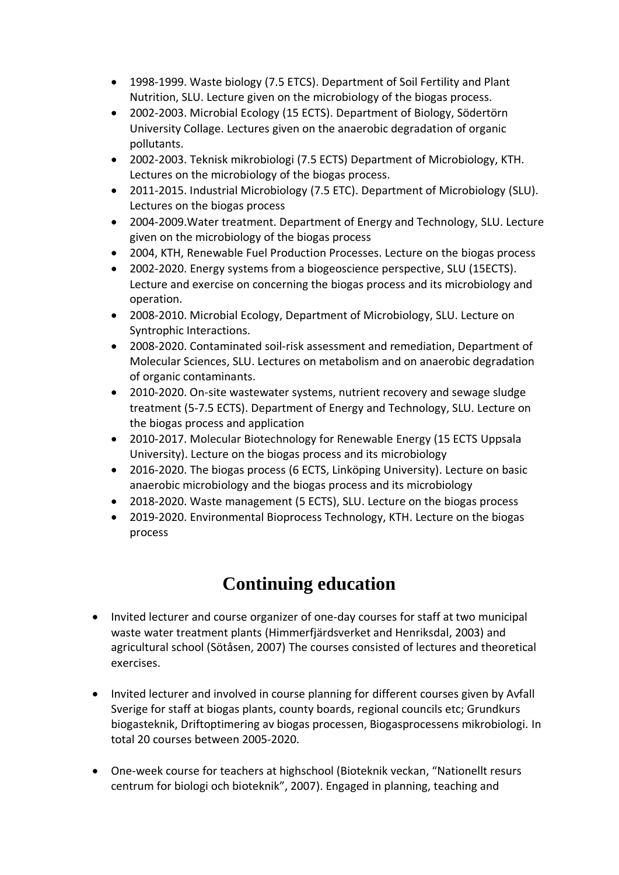- 1998-1999. Waste biology (7.5 ETCS). Department of Soil Fertility and Plant Nutrition, SLU. Lecture given on the microbiology of the biogas process.
- 2002-2003. Microbial Ecology (15 ECTS). Department of Biology, Södertörn University Collage. Lectures given on the anaerobic degradation of organic pollutants.
- 2002-2003. Teknisk mikrobiologi (7.5 ECTS) Department of Microbiology, KTH. Lectures on the microbiology of the biogas process.
- 2011-2015. Industrial Microbiology (7.5 ETC). Department of Microbiology (SLU). Lectures on the biogas process
- 2004-2009.Water treatment. Department of Energy and Technology, SLU. Lecture given on the microbiology of the biogas process
- 2004, KTH, Renewable Fuel Production Processes. Lecture on the biogas process
- 2002-2020. Energy systems from a biogeoscience perspective, SLU (15ECTS). Lecture and exercise on concerning the biogas process and its microbiology and operation.
- 2008-2010. Microbial Ecology, Department of Microbiology, SLU. Lecture on Syntrophic Interactions.
- 2008-2020. Contaminated soil-risk assessment and remediation, Department of Molecular Sciences, SLU. Lectures on metabolism and on anaerobic degradation of organic contaminants.
- 2010-2020. On-site wastewater systems, nutrient recovery and sewage sludge treatment (5-7.5 ECTS). Department of Energy and Technology, SLU. Lecture on the biogas process and application
- 2010-2017. Molecular Biotechnology for Renewable Energy (15 ECTS Uppsala University). Lecture on the biogas process and its microbiology
- 2016-2020. The biogas process (6 ECTS, Linköping University). Lecture on basic anaerobic microbiology and the biogas process and its microbiology
- 2018-2020. Waste management (5 ECTS), SLU. Lecture on the biogas process
- 2019-2020. Environmental Bioprocess Technology, KTH. Lecture on the biogas process

# **Continuing education**

- Invited lecturer and course organizer of one-day courses for staff at two municipal waste water treatment plants (Himmerfjärdsverket and Henriksdal, 2003) and agricultural school (Sötåsen, 2007) The courses consisted of lectures and theoretical exercises.
- Invited lecturer and involved in course planning for different courses given by Avfall Sverige for staff at biogas plants, county boards, regional councils etc; Grundkurs biogasteknik, Driftoptimering av biogas processen, Biogasprocessens mikrobiologi. In total 20 courses between 2005-2020.
- One-week course for teachers at highschool (Bioteknik veckan, "Nationellt resurs centrum for biologi och bioteknik", 2007). Engaged in planning, teaching and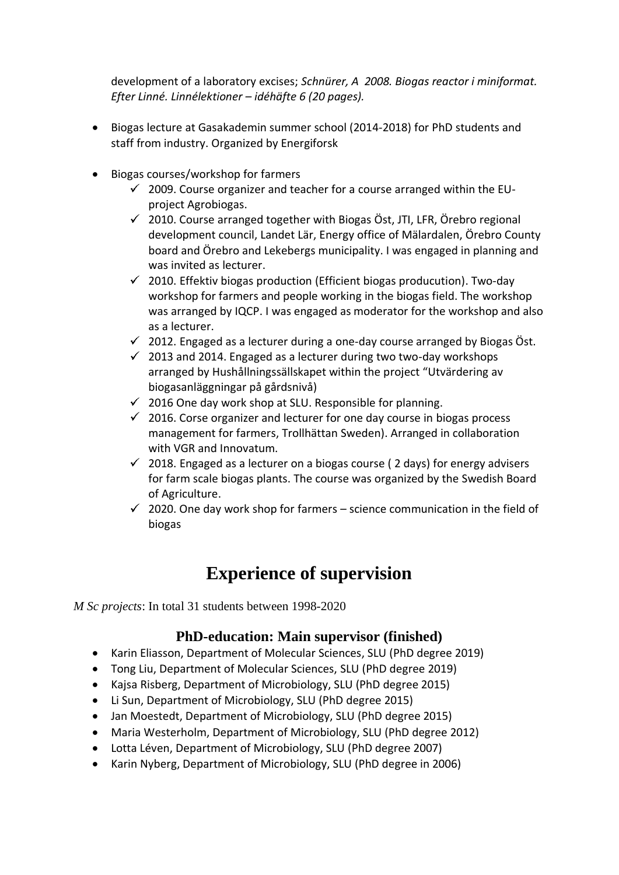development of a laboratory excises; *Schnürer, A 2008. Biogas reactor i miniformat. Efter Linné. Linnélektioner – idéhäfte 6 (20 pages).* 

- Biogas lecture at Gasakademin summer school (2014-2018) for PhD students and staff from industry. Organized by Energiforsk
- Biogas courses/workshop for farmers
	- $\checkmark$  2009. Course organizer and teacher for a course arranged within the EUproject Agrobiogas.
	- $\checkmark$  2010. Course arranged together with Biogas Öst, JTI, LFR, Örebro regional development council, Landet Lär, Energy office of Mälardalen, Örebro County board and Örebro and Lekebergs municipality. I was engaged in planning and was invited as lecturer.
	- $\checkmark$  2010. Effektiv biogas production (Efficient biogas producution). Two-day workshop for farmers and people working in the biogas field. The workshop was arranged by IQCP. I was engaged as moderator for the workshop and also as a lecturer.
	- $\checkmark$  2012. Engaged as a lecturer during a one-day course arranged by Biogas Öst.
	- $\checkmark$  2013 and 2014. Engaged as a lecturer during two two-day workshops arranged by Hushållningssällskapet within the project "Utvärdering av biogasanläggningar på gårdsnivå)
	- $\checkmark$  2016 One day work shop at SLU. Responsible for planning.
	- $\checkmark$  2016. Corse organizer and lecturer for one day course in biogas process management for farmers, Trollhättan Sweden). Arranged in collaboration with VGR and Innovatum.
	- $\checkmark$  2018. Engaged as a lecturer on a biogas course (2 days) for energy advisers for farm scale biogas plants. The course was organized by the Swedish Board of Agriculture.
	- $\checkmark$  2020. One day work shop for farmers science communication in the field of biogas

## **Experience of supervision**

*M Sc projects*: In total 31 students between 1998-2020

### **PhD-education: Main supervisor (finished)**

- Karin Eliasson, Department of Molecular Sciences, SLU (PhD degree 2019)
- Tong Liu, Department of Molecular Sciences, SLU (PhD degree 2019)
- Kajsa Risberg, Department of Microbiology, SLU (PhD degree 2015)
- Li Sun, Department of Microbiology, SLU (PhD degree 2015)
- Jan Moestedt, Department of Microbiology, SLU (PhD degree 2015)
- Maria Westerholm, Department of Microbiology, SLU (PhD degree 2012)
- Lotta Léven, Department of Microbiology, SLU (PhD degree 2007)
- Karin Nyberg, Department of Microbiology, SLU (PhD degree in 2006)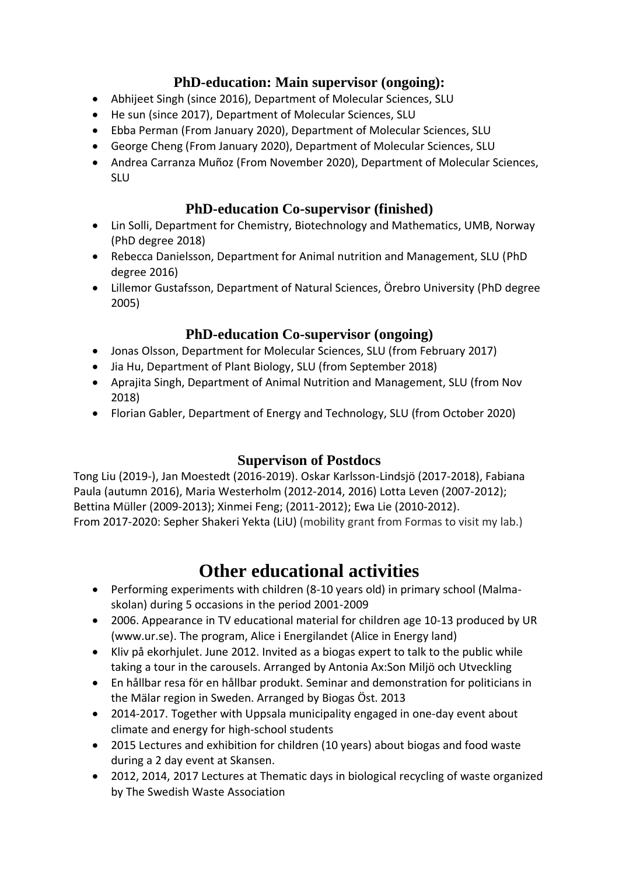### **PhD-education: Main supervisor (ongoing):**

- Abhijeet Singh (since 2016), Department of Molecular Sciences, SLU
- He sun (since 2017), Department of Molecular Sciences, SLU
- Ebba Perman (From January 2020), Department of Molecular Sciences, SLU
- George Cheng (From January 2020), Department of Molecular Sciences, SLU
- Andrea Carranza Muñoz (From November 2020), Department of Molecular Sciences, SLU

### **PhD-education Co-supervisor (finished)**

- Lin Solli, Department for Chemistry, Biotechnology and Mathematics, UMB, Norway (PhD degree 2018)
- Rebecca Danielsson, Department for Animal nutrition and Management, SLU (PhD degree 2016)
- Lillemor Gustafsson, Department of Natural Sciences, Örebro University (PhD degree 2005)

### **PhD-education Co-supervisor (ongoing)**

- Jonas Olsson, Department for Molecular Sciences, SLU (from February 2017)
- Jia Hu, Department of Plant Biology, SLU (from September 2018)
- Aprajita Singh, Department of Animal Nutrition and Management, SLU (from Nov 2018)
- Florian Gabler, Department of Energy and Technology, SLU (from October 2020)

### **Supervison of Postdocs**

Tong Liu (2019-), Jan Moestedt (2016-2019). Oskar Karlsson-Lindsjö (2017-2018), Fabiana Paula (autumn 2016), Maria Westerholm (2012-2014, 2016) Lotta Leven (2007-2012); Bettina Müller (2009-2013); Xinmei Feng; (2011-2012); Ewa Lie (2010-2012). From 2017-2020: Sepher Shakeri Yekta (LiU) (mobility grant from Formas to visit my lab.)

## **Other educational activities**

- Performing experiments with children (8-10 years old) in primary school (Malmaskolan) during 5 occasions in the period 2001-2009
- 2006. Appearance in TV educational material for children age 10-13 produced by UR [\(www.ur.se\)](http://www.ur.se/). The program, Alice i Energilandet (Alice in Energy land)
- Kliv på ekorhjulet. June 2012. Invited as a biogas expert to talk to the public while taking a tour in the carousels. Arranged by Antonia Ax:Son Miljö och Utveckling
- En hållbar resa för en hållbar produkt. Seminar and demonstration for politicians in the Mälar region in Sweden. Arranged by Biogas Öst. 2013
- 2014-2017. Together with Uppsala municipality engaged in one-day event about climate and energy for high-school students
- 2015 Lectures and exhibition for children (10 years) about biogas and food waste during a 2 day event at Skansen.
- 2012, 2014, 2017 Lectures at Thematic days in biological recycling of waste organized by The Swedish Waste Association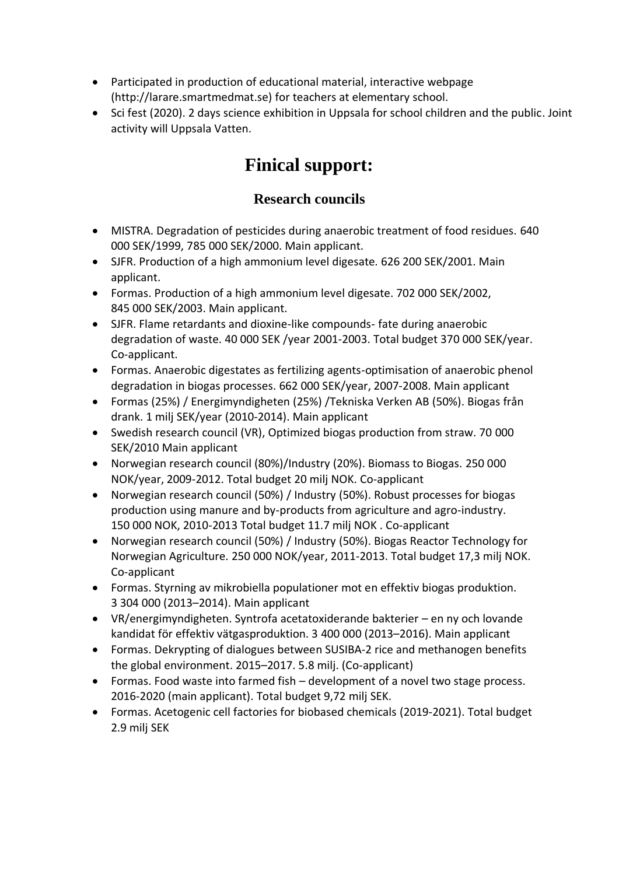- Participated in production of educational material, interactive webpage (http://larare.smartmedmat.se) for teachers at elementary school.
- Sci fest (2020). 2 days science exhibition in Uppsala for school children and the public. Joint activity will Uppsala Vatten.

# **Finical support:**

### **Research councils**

- MISTRA. Degradation of pesticides during anaerobic treatment of food residues. 640 000 SEK/1999, 785 000 SEK/2000. Main applicant.
- SJFR. Production of a high ammonium level digesate. 626 200 SEK/2001. Main applicant.
- Formas. Production of a high ammonium level digesate. 702 000 SEK/2002, 845 000 SEK/2003. Main applicant.
- SJFR. Flame retardants and dioxine-like compounds*-* fate during anaerobic degradation of waste. 40 000 SEK /year 2001-2003. Total budget 370 000 SEK/year. Co-applicant.
- Formas. Anaerobic digestates as fertilizing agents-optimisation of anaerobic phenol degradation in biogas processes. 662 000 SEK/year, 2007-2008. Main applicant
- Formas (25%) / Energimyndigheten (25%) /Tekniska Verken AB (50%). Biogas från drank. 1 milj SEK/year (2010-2014). Main applicant
- Swedish research council (VR), Optimized biogas production from straw. 70 000 SEK/2010 Main applicant
- Norwegian research council (80%)/Industry (20%). Biomass to Biogas. 250 000 NOK/year, 2009-2012. Total budget 20 milj NOK. Co-applicant
- Norwegian research council (50%) / Industry (50%). Robust processes for biogas production using manure and by-products from agriculture and agro-industry. 150 000 NOK, 2010-2013 Total budget 11.7 milj NOK . Co-applicant
- Norwegian research council (50%) / Industry (50%). Biogas Reactor Technology for Norwegian Agriculture. 250 000 NOK/year, 2011-2013. Total budget 17,3 milj NOK. Co-applicant
- Formas. Styrning av mikrobiella populationer mot en effektiv biogas produktion. 3 304 000 (2013–2014). Main applicant
- VR/energimyndigheten. Syntrofa acetatoxiderande bakterier en ny och lovande kandidat för effektiv vätgasproduktion. 3 400 000 (2013–2016). Main applicant
- Formas. Dekrypting of dialogues between SUSIBA-2 rice and methanogen benefits the global environment. 2015–2017. 5.8 milj. (Co-applicant)
- Formas. Food waste into farmed fish development of a novel two stage process. 2016-2020 (main applicant). Total budget 9,72 milj SEK.
- Formas. Acetogenic cell factories for biobased chemicals (2019-2021). Total budget 2.9 milj SEK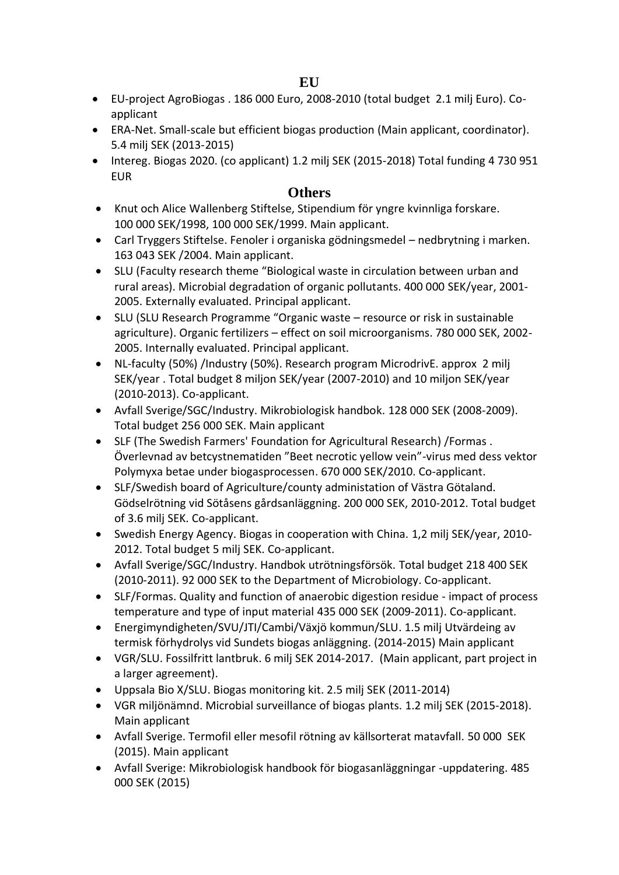- EU-project AgroBiogas . 186 000 Euro, 2008-2010 (total budget 2.1 milj Euro). Coapplicant
- ERA-Net. Small-scale but efficient biogas production (Main applicant, coordinator). 5.4 milj SEK (2013-2015)
- Intereg. Biogas 2020. (co applicant) 1.2 milj SEK (2015-2018) Total funding 4 730 951 EUR

#### **Others**

- Knut och Alice Wallenberg Stiftelse, Stipendium för yngre kvinnliga forskare. 100 000 SEK/1998, 100 000 SEK/1999. Main applicant.
- Carl Tryggers Stiftelse. Fenoler i organiska gödningsmedel nedbrytning i marken. 163 043 SEK /2004. Main applicant.
- SLU (Faculty research theme "Biological waste in circulation between urban and rural areas). Microbial degradation of organic pollutants. 400 000 SEK/year, 2001- 2005. Externally evaluated. Principal applicant.
- SLU (SLU Research Programme "Organic waste resource or risk in sustainable agriculture). Organic fertilizers – effect on soil microorganisms. 780 000 SEK, 2002- 2005. Internally evaluated. Principal applicant.
- NL-faculty (50%) /Industry (50%). Research program MicrodrivE. approx 2 milj SEK/year . Total budget 8 miljon SEK/year (2007-2010) and 10 miljon SEK/year (2010-2013). Co-applicant.
- Avfall Sverige/SGC/Industry. Mikrobiologisk handbok. 128 000 SEK (2008-2009). Total budget 256 000 SEK. Main applicant
- SLF (The Swedish Farmers' Foundation for Agricultural Research) /Formas . Överlevnad av betcystnematiden "Beet necrotic yellow vein"-virus med dess vektor Polymyxa betae under biogasprocessen. 670 000 SEK/2010. Co-applicant.
- SLF/Swedish board of Agriculture/county administation of Västra Götaland. Gödselrötning vid Sötåsens gårdsanläggning. 200 000 SEK, 2010-2012. Total budget of 3.6 milj SEK. Co-applicant.
- Swedish Energy Agency. Biogas in cooperation with China. 1,2 milj SEK/year, 2010- 2012. Total budget 5 milj SEK. Co-applicant.
- Avfall Sverige/SGC/Industry. Handbok utrötningsförsök. Total budget 218 400 SEK (2010-2011). 92 000 SEK to the Department of Microbiology. Co-applicant.
- SLF/Formas. Quality and function of anaerobic digestion residue impact of process temperature and type of input material 435 000 SEK (2009-2011). Co-applicant.
- Energimyndigheten/SVU/JTI/Cambi/Växjö kommun/SLU. 1.5 milj Utvärdeing av termisk förhydrolys vid Sundets biogas anläggning. (2014-2015) Main applicant
- VGR/SLU. Fossilfritt lantbruk. 6 milj SEK 2014-2017. (Main applicant, part project in a larger agreement).
- Uppsala Bio X/SLU. Biogas monitoring kit. 2.5 milj SEK (2011-2014)
- VGR miljönämnd. Microbial surveillance of biogas plants. 1.2 milj SEK (2015-2018). Main applicant
- Avfall Sverige. Termofil eller mesofil rötning av källsorterat matavfall. 50 000 SEK (2015). Main applicant
- Avfall Sverige: Mikrobiologisk handbook för biogasanläggningar -uppdatering. 485 000 SEK (2015)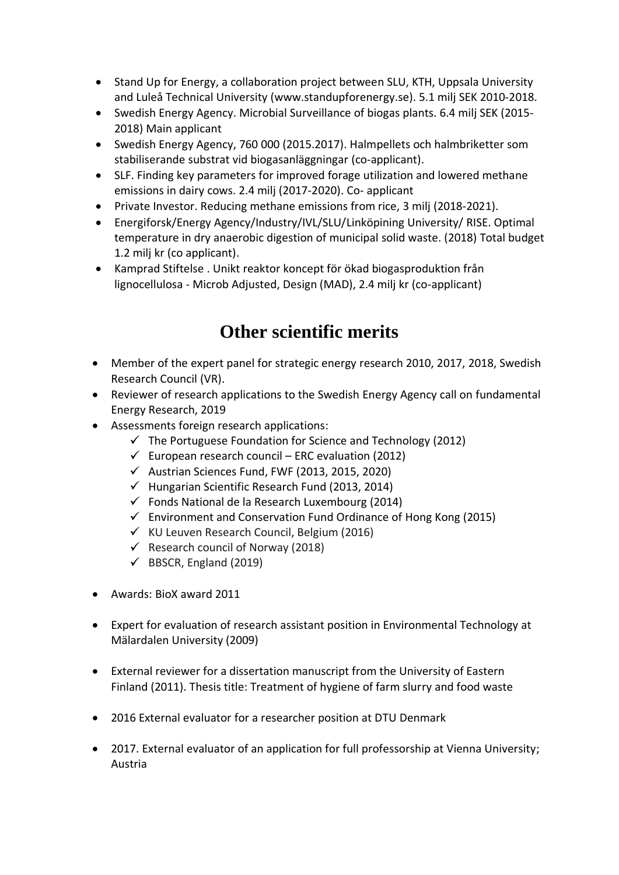- Stand Up for Energy, a collaboration project between SLU, KTH, Uppsala University and Luleå Technical University [\(www.standupforenergy.se\)](http://www.standupforenergy.se/). 5.1 milj SEK 2010-2018.
- Swedish Energy Agency. Microbial Surveillance of biogas plants. 6.4 milj SEK (2015- 2018) Main applicant
- Swedish Energy Agency, 760 000 (2015.2017). Halmpellets och halmbriketter som stabiliserande substrat vid biogasanläggningar (co-applicant).
- SLF. Finding key parameters for improved forage utilization and lowered methane emissions in dairy cows. 2.4 milj (2017-2020). Co- applicant
- Private Investor. Reducing methane emissions from rice, 3 milj (2018-2021).
- Energiforsk/Energy Agency/Industry/IVL/SLU/Linköpining University/ RISE. Optimal temperature in dry anaerobic digestion of municipal solid waste. (2018) Total budget 1.2 milj kr (co applicant).
- Kamprad Stiftelse . Unikt reaktor koncept för ökad biogasproduktion från lignocellulosa - Microb Adjusted, Design (MAD), 2.4 milj kr (co-applicant)

# **Other scientific merits**

- Member of the expert panel for strategic energy research 2010, 2017, 2018, Swedish Research Council (VR).
- Reviewer of research applications to the Swedish Energy Agency call on fundamental Energy Research, 2019
- Assessments foreign research applications:
	- $\checkmark$  The Portuguese Foundation for Science and Technology (2012)
	- $\checkmark$  European research council ERC evaluation (2012)
	- $\checkmark$  Austrian Sciences Fund, FWF (2013, 2015, 2020)
	- $\checkmark$  Hungarian Scientific Research Fund (2013, 2014)
	- $\checkmark$  Fonds National de la Research Luxembourg (2014)
	- $\checkmark$  Environment and Conservation Fund Ordinance of Hong Kong (2015)
	- $\checkmark$  KU Leuven Research Council, Belgium (2016)
	- $\checkmark$  Research council of Norway (2018)
	- $\checkmark$  BBSCR, England (2019)
- Awards: BioX award 2011
- Expert for evaluation of research assistant position in Environmental Technology at Mälardalen University (2009)
- External reviewer for a dissertation manuscript from the University of Eastern Finland (2011). Thesis title: Treatment of hygiene of farm slurry and food waste
- 2016 External evaluator for a researcher position at DTU Denmark
- 2017. External evaluator of an application for full professorship at Vienna University; Austria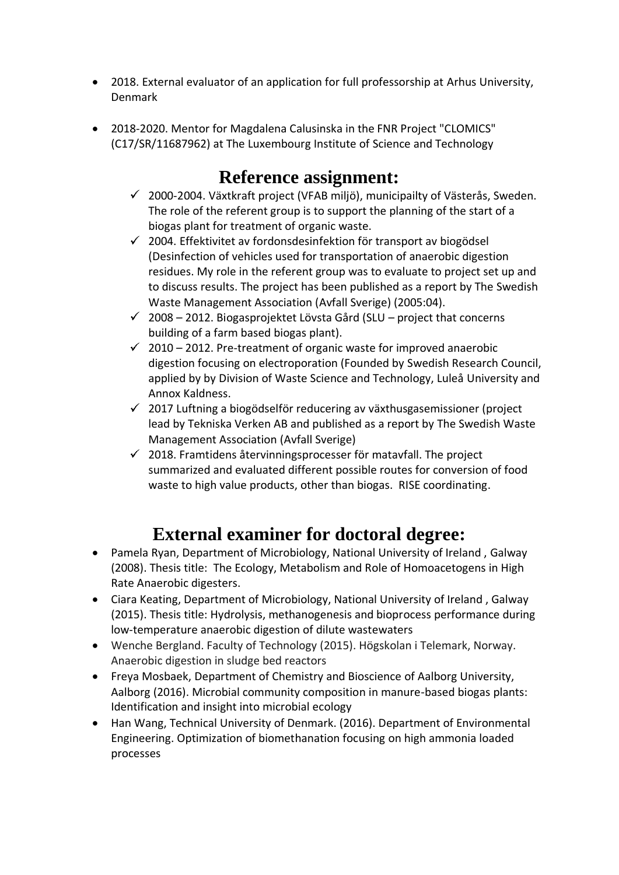- 2018. External evaluator of an application for full professorship at Arhus University, Denmark
- 2018-2020. Mentor for Magdalena Calusinska in the FNR Project "CLOMICS" (C17/SR/11687962) at The Luxembourg Institute of Science and Technology

## **Reference assignment:**

- $\checkmark$  2000-2004. Växtkraft project (VFAB miljö), municipailty of Västerås, Sweden. The role of the referent group is to support the planning of the start of a biogas plant for treatment of organic waste.
- $\checkmark$  2004. Effektivitet av fordonsdesinfektion för transport av biogödsel (Desinfection of vehicles used for transportation of anaerobic digestion residues. My role in the referent group was to evaluate to project set up and to discuss results. The project has been published as a report by The Swedish Waste Management Association (Avfall Sverige) (2005:04).
- $\checkmark$  2008 2012. Biogasprojektet Lövsta Gård (SLU project that concerns building of a farm based biogas plant).
- $\checkmark$  2010 2012. Pre-treatment of organic waste for improved anaerobic digestion focusing on electroporation (Founded by Swedish Research Council, applied by by Division of Waste Science and Technology, Luleå University and Annox Kaldness.
- $\checkmark$  2017 Luftning a biogödselför reducering av växthusgasemissioner (project lead by Tekniska Verken AB and published as a report by The Swedish Waste Management Association (Avfall Sverige)
- $\checkmark$  2018. Framtidens återvinningsprocesser för matavfall. The project summarized and evaluated different possible routes for conversion of food waste to high value products, other than biogas. RISE coordinating.

# **External examiner for doctoral degree:**

- Pamela Ryan, Department of Microbiology, National University of Ireland , Galway (2008). Thesis title: The Ecology, Metabolism and Role of Homoacetogens in High Rate Anaerobic digesters.
- Ciara Keating, Department of Microbiology, National University of Ireland , Galway (2015). Thesis title: Hydrolysis, methanogenesis and bioprocess performance during low-temperature anaerobic digestion of dilute wastewaters
- Wenche Bergland. Faculty of Technology (2015). Högskolan i Telemark, Norway. Anaerobic digestion in sludge bed reactors
- Freya Mosbaek, Department of Chemistry and Bioscience of Aalborg University, Aalborg (2016). Microbial community composition in manure-based biogas plants: Identification and insight into microbial ecology
- Han Wang, Technical University of Denmark. (2016). Department of Environmental Engineering. Optimization of biomethanation focusing on high ammonia loaded processes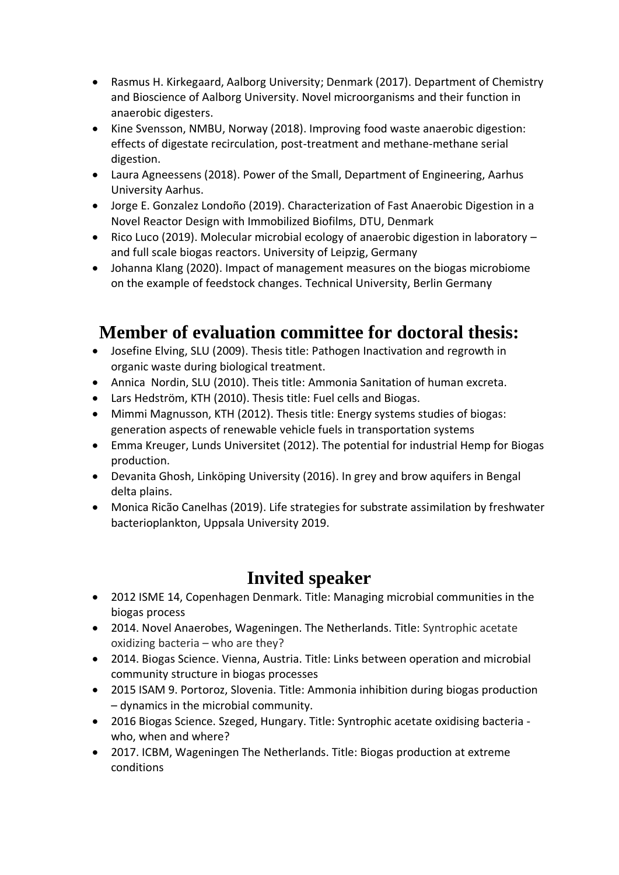- Rasmus H. Kirkegaard, Aalborg University; Denmark (2017). Department of Chemistry and Bioscience of Aalborg University. Novel microorganisms and their function in anaerobic digesters.
- Kine Svensson, NMBU, Norway (2018). Improving food waste anaerobic digestion: effects of digestate recirculation, post-treatment and methane-methane serial digestion.
- Laura Agneessens (2018). Power of the Small, Department of Engineering, Aarhus University Aarhus.
- Jorge E. Gonzalez Londoño (2019). Characterization of Fast Anaerobic Digestion in a Novel Reactor Design with Immobilized Biofilms, DTU, Denmark
- Rico Luco (2019). Molecular microbial ecology of anaerobic digestion in laboratory and full scale biogas reactors. University of Leipzig, Germany
- Johanna Klang (2020). Impact of management measures on the biogas microbiome on the example of feedstock changes. Technical University, Berlin Germany

## **Member of evaluation committee for doctoral thesis:**

- Josefine Elving, SLU (2009). Thesis title: Pathogen Inactivation and regrowth in organic waste during biological treatment.
- Annica Nordin, SLU (2010). Theis title: Ammonia Sanitation of human excreta.
- Lars Hedström, KTH (2010). Thesis title: Fuel cells and Biogas.
- Mimmi Magnusson, KTH (2012). Thesis title: Energy systems studies of biogas: generation aspects of renewable vehicle fuels in transportation systems
- Emma Kreuger, Lunds Universitet (2012). The potential for industrial Hemp for Biogas production.
- Devanita Ghosh, Linköping University (2016). In grey and brow aquifers in Bengal delta plains.
- Monica Ricão Canelhas (2019). Life strategies for substrate assimilation by freshwater bacterioplankton, Uppsala University 2019.

## **Invited speaker**

- 2012 ISME 14, Copenhagen Denmark. Title: Managing microbial communities in the biogas process
- 2014. Novel Anaerobes, Wageningen. The Netherlands. Title: Syntrophic acetate oxidizing bacteria – who are they?
- 2014. Biogas Science. Vienna, Austria. Title: Links between operation and microbial community structure in biogas processes
- 2015 ISAM 9. Portoroz, Slovenia. Title: Ammonia inhibition during biogas production – dynamics in the microbial community.
- 2016 Biogas Science. Szeged, Hungary. Title: Syntrophic acetate oxidising bacteria who, when and where?
- 2017. ICBM, Wageningen The Netherlands. Title: Biogas production at extreme conditions